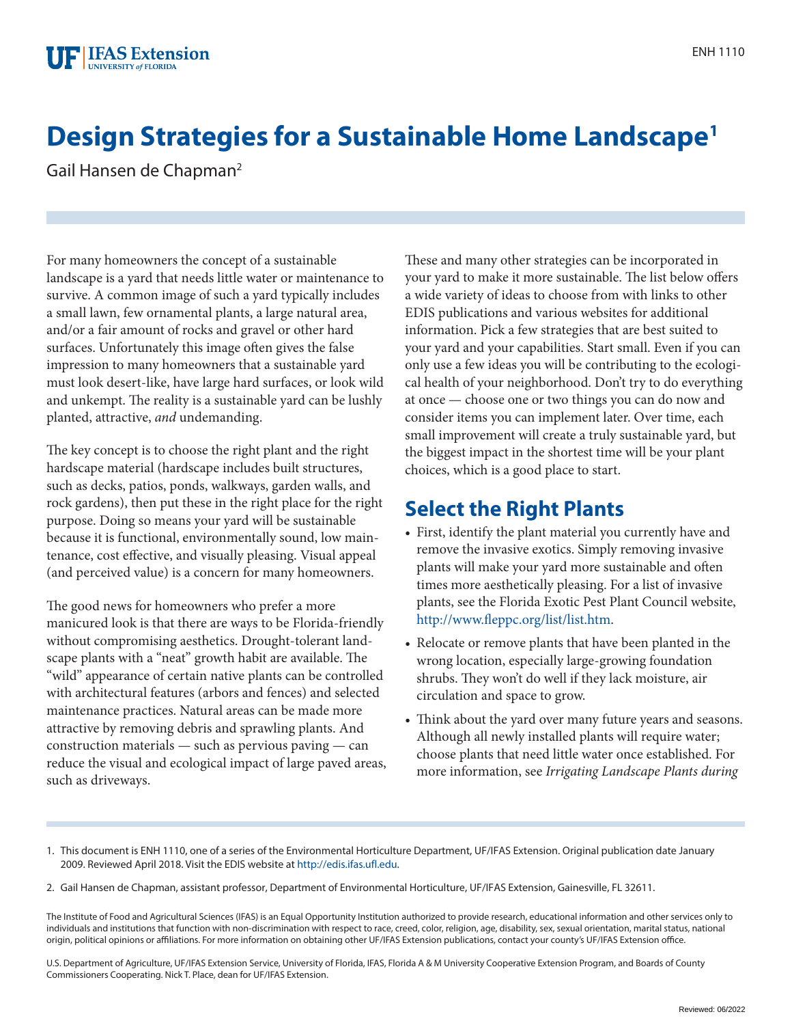

# **Design Strategies for a Sustainable Home Landscape1**

Gail Hansen de Chapman<sup>2</sup>

For many homeowners the concept of a sustainable landscape is a yard that needs little water or maintenance to survive. A common image of such a yard typically includes a small lawn, few ornamental plants, a large natural area, and/or a fair amount of rocks and gravel or other hard surfaces. Unfortunately this image often gives the false impression to many homeowners that a sustainable yard must look desert-like, have large hard surfaces, or look wild and unkempt. The reality is a sustainable yard can be lushly planted, attractive, *and* undemanding.

The key concept is to choose the right plant and the right hardscape material (hardscape includes built structures, such as decks, patios, ponds, walkways, garden walls, and rock gardens), then put these in the right place for the right purpose. Doing so means your yard will be sustainable because it is functional, environmentally sound, low maintenance, cost effective, and visually pleasing. Visual appeal (and perceived value) is a concern for many homeowners.

The good news for homeowners who prefer a more manicured look is that there are ways to be Florida-friendly without compromising aesthetics. Drought-tolerant landscape plants with a "neat" growth habit are available. The "wild" appearance of certain native plants can be controlled with architectural features (arbors and fences) and selected maintenance practices. Natural areas can be made more attractive by removing debris and sprawling plants. And construction materials — such as pervious paving — can reduce the visual and ecological impact of large paved areas, such as driveways.

These and many other strategies can be incorporated in your yard to make it more sustainable. The list below offers a wide variety of ideas to choose from with links to other EDIS publications and various websites for additional information. Pick a few strategies that are best suited to your yard and your capabilities. Start small. Even if you can only use a few ideas you will be contributing to the ecological health of your neighborhood. Don't try to do everything at once — choose one or two things you can do now and consider items you can implement later. Over time, each small improvement will create a truly sustainable yard, but the biggest impact in the shortest time will be your plant choices, which is a good place to start.

#### **Select the Right Plants**

- First, identify the plant material you currently have and remove the invasive exotics. Simply removing invasive plants will make your yard more sustainable and often times more aesthetically pleasing. For a list of invasive plants, see the Florida Exotic Pest Plant Council website, <http://www.fleppc.org/list/list.htm>.
- Relocate or remove plants that have been planted in the wrong location, especially large-growing foundation shrubs. They won't do well if they lack moisture, air circulation and space to grow.
- Think about the yard over many future years and seasons. Although all newly installed plants will require water; choose plants that need little water once established. For more information, see *Irrigating Landscape Plants during*

U.S. Department of Agriculture, UF/IFAS Extension Service, University of Florida, IFAS, Florida A & M University Cooperative Extension Program, and Boards of County Commissioners Cooperating. Nick T. Place, dean for UF/IFAS Extension.

<sup>1.</sup> This document is ENH 1110, one of a series of the Environmental Horticulture Department, UF/IFAS Extension. Original publication date January 2009. Reviewed April 2018. Visit the EDIS website at <http://edis.ifas.ufl.edu>.

<sup>2.</sup> Gail Hansen de Chapman, assistant professor, Department of Environmental Horticulture, UF/IFAS Extension, Gainesville, FL 32611.

The Institute of Food and Agricultural Sciences (IFAS) is an Equal Opportunity Institution authorized to provide research, educational information and other services only to individuals and institutions that function with non-discrimination with respect to race, creed, color, religion, age, disability, sex, sexual orientation, marital status, national origin, political opinions or affiliations. For more information on obtaining other UF/IFAS Extension publications, contact your county's UF/IFAS Extension office.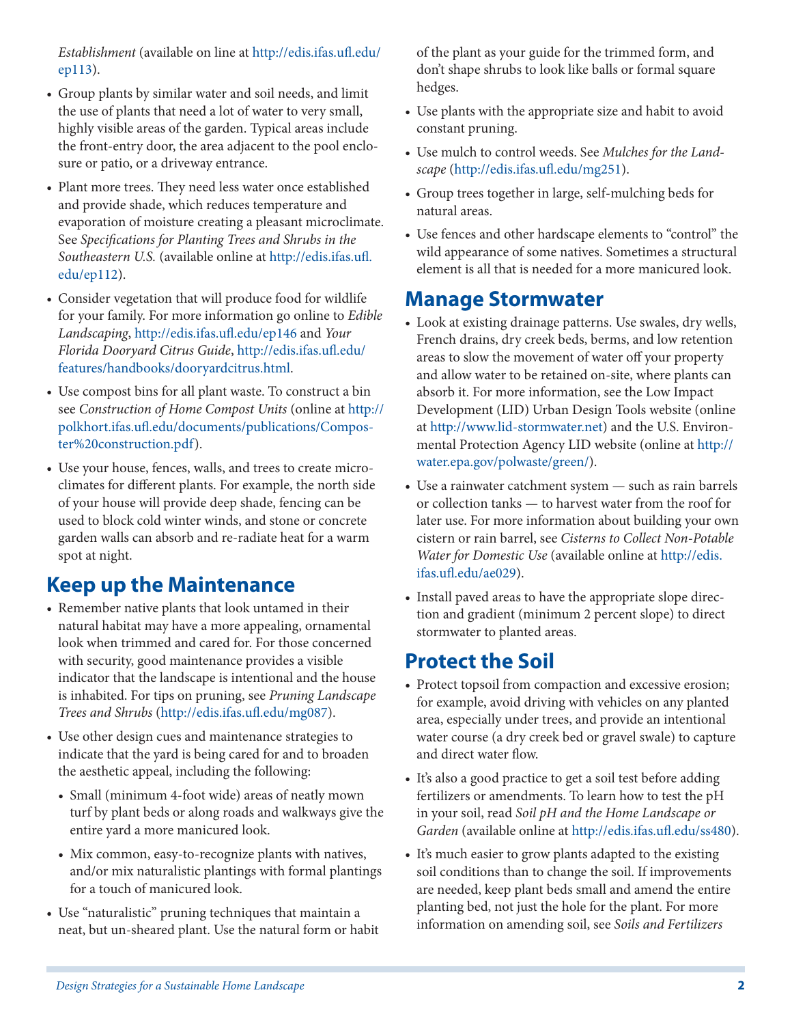*Establishment* (available on line at [http://edis.ifas.ufl.edu/](http://edis.ifas.ufl.edu/ep113) [ep113](http://edis.ifas.ufl.edu/ep113)).

- Group plants by similar water and soil needs, and limit the use of plants that need a lot of water to very small, highly visible areas of the garden. Typical areas include the front-entry door, the area adjacent to the pool enclosure or patio, or a driveway entrance.
- Plant more trees. They need less water once established and provide shade, which reduces temperature and evaporation of moisture creating a pleasant microclimate. See *Specifications for Planting Trees and Shrubs in the Southeastern U.S.* (available online at [http://edis.ifas.ufl.](http://edis.ifas.ufl.edu/ep112) [edu/ep112](http://edis.ifas.ufl.edu/ep112)).
- Consider vegetation that will produce food for wildlife for your family. For more information go online to *Edible Landscaping*,<http://edis.ifas.ufl.edu/ep146>and *Your Florida Dooryard Citrus Guide*, [http://edis.ifas.ufl.edu/](http://edis.ifas.ufl.edu/features/handbooks/dooryardcitrus.html) [features/handbooks/dooryardcitrus.html](http://edis.ifas.ufl.edu/features/handbooks/dooryardcitrus.html).
- Use compost bins for all plant waste. To construct a bin see *Construction of Home Compost Units* (online at [http://](http://polkhort.ifas.ufl.edu/documents/publications/Composter%20construction.pdf) [polkhort.ifas.ufl.edu/documents/publications/Compos](http://polkhort.ifas.ufl.edu/documents/publications/Composter%20construction.pdf)[ter%20construction.pdf](http://polkhort.ifas.ufl.edu/documents/publications/Composter%20construction.pdf)).
- Use your house, fences, walls, and trees to create microclimates for different plants. For example, the north side of your house will provide deep shade, fencing can be used to block cold winter winds, and stone or concrete garden walls can absorb and re-radiate heat for a warm spot at night.

#### **Keep up the Maintenance**

- Remember native plants that look untamed in their natural habitat may have a more appealing, ornamental look when trimmed and cared for. For those concerned with security, good maintenance provides a visible indicator that the landscape is intentional and the house is inhabited. For tips on pruning, see *Pruning Landscape Trees and Shrubs* [\(http://edis.ifas.ufl.edu/mg087](http://edis.ifas.ufl.edu/mg087)).
- Use other design cues and maintenance strategies to indicate that the yard is being cared for and to broaden the aesthetic appeal, including the following:
	- Small (minimum 4-foot wide) areas of neatly mown turf by plant beds or along roads and walkways give the entire yard a more manicured look.
	- Mix common, easy-to-recognize plants with natives, and/or mix naturalistic plantings with formal plantings for a touch of manicured look.
- Use "naturalistic" pruning techniques that maintain a neat, but un-sheared plant. Use the natural form or habit

of the plant as your guide for the trimmed form, and don't shape shrubs to look like balls or formal square hedges.

- Use plants with the appropriate size and habit to avoid constant pruning.
- Use mulch to control weeds. See *Mulches for the Landscape* [\(http://edis.ifas.ufl.edu/mg251\)](http://edis.ifas.ufl.edu/mg251).
- Group trees together in large, self-mulching beds for natural areas.
- Use fences and other hardscape elements to "control" the wild appearance of some natives. Sometimes a structural element is all that is needed for a more manicured look.

#### **Manage Stormwater**

- Look at existing drainage patterns. Use swales, dry wells, French drains, dry creek beds, berms, and low retention areas to slow the movement of water off your property and allow water to be retained on-site, where plants can absorb it. For more information, see the Low Impact Development (LID) Urban Design Tools website (online at <http://www.lid-stormwater.net>) and the U.S. Environmental Protection Agency LID website (online at [http://](http://water.epa.gov/polwaste/green) [water.epa.gov/polwaste/green/](http://water.epa.gov/polwaste/green)).
- Use a rainwater catchment system such as rain barrels or collection tanks — to harvest water from the roof for later use. For more information about building your own cistern or rain barrel, see *Cisterns to Collect Non-Potable Water for Domestic Use* (available online at [http://edis.](http://edis.ifas.ufl.edu/ae029) [ifas.ufl.edu/ae029](http://edis.ifas.ufl.edu/ae029)).
- Install paved areas to have the appropriate slope direction and gradient (minimum 2 percent slope) to direct stormwater to planted areas.

#### **Protect the Soil**

- Protect topsoil from compaction and excessive erosion; for example, avoid driving with vehicles on any planted area, especially under trees, and provide an intentional water course (a dry creek bed or gravel swale) to capture and direct water flow.
- It's also a good practice to get a soil test before adding fertilizers or amendments. To learn how to test the pH in your soil, read *Soil pH and the Home Landscape or Garden* (available online at<http://edis.ifas.ufl.edu/ss480>).
- It's much easier to grow plants adapted to the existing soil conditions than to change the soil. If improvements are needed, keep plant beds small and amend the entire planting bed, not just the hole for the plant. For more information on amending soil, see *Soils and Fertilizers*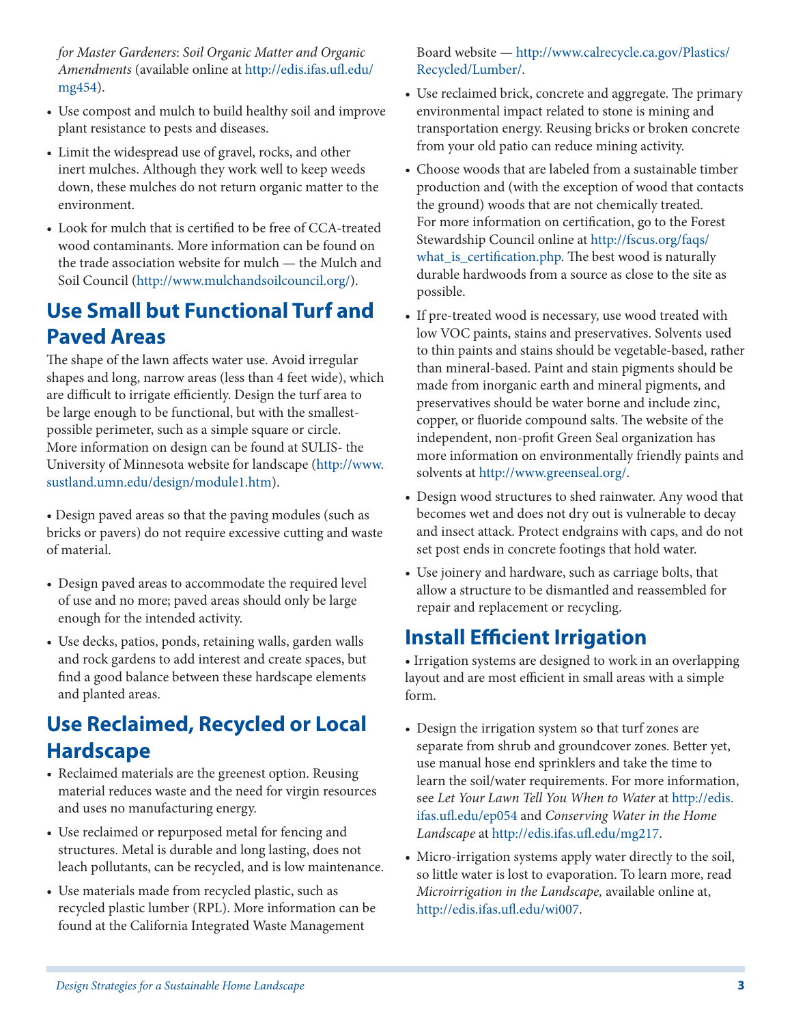*for Master Gardeners*: *Soil Organic Matter and Organic Amendments* (available online at [http://edis.ifas.ufl.edu/](http://edis.ifas.ufl.edu/mg454) [mg454\)](http://edis.ifas.ufl.edu/mg454).

- Use compost and mulch to build healthy soil and improve plant resistance to pests and diseases.
- Limit the widespread use of gravel, rocks, and other inert mulches. Although they work well to keep weeds down, these mulches do not return organic matter to the environment.
- Look for mulch that is certified to be free of CCA-treated wood contaminants. More information can be found on the trade association website for mulch — the Mulch and Soil Council (<http://www.mulchandsoilcouncil.org>/).

## **Use Small but Functional Turf and Paved Areas**

The shape of the lawn affects water use. Avoid irregular shapes and long, narrow areas (less than 4 feet wide), which are difficult to irrigate efficiently. Design the turf area to be large enough to be functional, but with the smallestpossible perimeter, such as a simple square or circle. More information on design can be found at SULIS- the University of Minnesota website for landscape ([http://www.](http://www.sustland.umn.edu/design/module1.htm) [sustland.umn.edu/design/module1.htm](http://www.sustland.umn.edu/design/module1.htm)).

• Design paved areas so that the paving modules (such as bricks or pavers) do not require excessive cutting and waste of material.

- Design paved areas to accommodate the required level of use and no more; paved areas should only be large enough for the intended activity.
- Use decks, patios, ponds, retaining walls, garden walls and rock gardens to add interest and create spaces, but find a good balance between these hardscape elements and planted areas.

## **Use Reclaimed, Recycled or Local Hardscape**

- Reclaimed materials are the greenest option. Reusing material reduces waste and the need for virgin resources and uses no manufacturing energy.
- Use reclaimed or repurposed metal for fencing and structures. Metal is durable and long lasting, does not leach pollutants, can be recycled, and is low maintenance.
- Use materials made from recycled plastic, such as recycled plastic lumber (RPL). More information can be found at the California Integrated Waste Management

Board website — [http://www.calrecycle.ca.gov/Plastics/](http://www.calrecycle.ca.gov/Plastics/Recycled/Lumber/) [Recycled/Lumber/.](http://www.calrecycle.ca.gov/Plastics/Recycled/Lumber/)

- Use reclaimed brick, concrete and aggregate. The primary environmental impact related to stone is mining and transportation energy. Reusing bricks or broken concrete from your old patio can reduce mining activity.
- Choose woods that are labeled from a sustainable timber production and (with the exception of wood that contacts the ground) woods that are not chemically treated. For more information on certification, go to the Forest Stewardship Council online at [http://fscus.org/faqs/](http://fscus.org/faqs/what_is_certification.php) [what\\_is\\_certification.php.](http://fscus.org/faqs/what_is_certification.php) The best wood is naturally durable hardwoods from a source as close to the site as possible.
- If pre-treated wood is necessary, use wood treated with low VOC paints, stains and preservatives. Solvents used to thin paints and stains should be vegetable-based, rather than mineral-based. Paint and stain pigments should be made from inorganic earth and mineral pigments, and preservatives should be water borne and include zinc, copper, or fluoride compound salts. The website of the independent, non-profit Green Seal organization has more information on environmentally friendly paints and solvents at [http://www.greenseal.org/](http://www.greenseal.org).
- Design wood structures to shed rainwater. Any wood that becomes wet and does not dry out is vulnerable to decay and insect attack. Protect endgrains with caps, and do not set post ends in concrete footings that hold water.
- Use joinery and hardware, such as carriage bolts, that allow a structure to be dismantled and reassembled for repair and replacement or recycling.

## **Install Efficient Irrigation**

• Irrigation systems are designed to work in an overlapping layout and are most efficient in small areas with a simple form.

- Design the irrigation system so that turf zones are separate from shrub and groundcover zones. Better yet, use manual hose end sprinklers and take the time to learn the soil/water requirements. For more information, see *Let Your Lawn Tell You When to Water* at [http://edis.](http://edis.ifas.ufl.edu/ep054) [ifas.ufl.edu/ep054](http://edis.ifas.ufl.edu/ep054) and *Conserving Water in the Home Landscape* at [http://edis.ifas.ufl.edu/mg217.](http://edis.ifas.ufl.edu/mg217)
- Micro-irrigation systems apply water directly to the soil, so little water is lost to evaporation. To learn more, read *Microirrigation in the Landscape,* available online at, [http://edis.ifas.ufl.edu/wi007.](http://edis.ifas.ufl.edu/wi007)